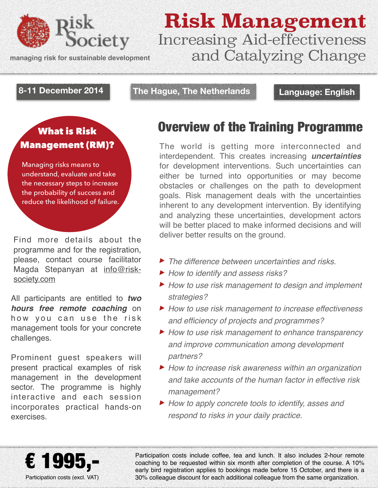

**managing risk for sustainable development**

### **Risk Management** Increasing Aid-effectiveness and Catalyzing Change

#### **8-11 December 2014**

**The Hague, The Netherlands Language: English**

## Management (RM)?

Managing risks means to understand, evaluate and take the necessary steps to increase the probability of success and reduce the likelihood of failure.

Find more details about the programme and for the registration, please, contact course facilitator [Magda Stepanyan at info@risk](mailto:info@risk-society.com)society.com

All participants are entitled to *two hours free remote coaching* on how you can use the risk management tools for your concrete challenges.

Prominent guest speakers will present practical examples of risk management in the development sector. The programme is highly interactive and each session incorporates practical hands-on exercises.

#### What is Risk **Overview of the Training Programme**

The world is getting more interconnected and interdependent. This creates increasing *uncertainties* for development interventions. Such uncertainties can either be turned into opportunities or may become obstacles or challenges on the path to development goals. Risk management deals with the uncertainties inherent to any development intervention. By identifying and analyzing these uncertainties, development actors will be better placed to make informed decisions and will deliver better results on the ground.

- ‣ *The difference between uncertainties and risks.*
- ‣ *How to identify and assess risks?*
- ‣ *How to use risk management to design and implement strategies?*
- ‣ *How to use risk management to increase effectiveness and efficiency of projects and programmes?*
- ‣ *How to use risk management to enhance transparency and improve communication among development partners?*
- ‣ *How to increase risk awareness within an organization and take accounts of the human factor in effective risk management?*
- ‣ *How to apply concrete tools to identify, asses and respond to risks in your daily practice.*



Participation costs include coffee, tea and lunch. It also includes 2-hour remote coaching to be requested within six month after completion of the course. A 10% early bird registration applies to bookings made before 15 October, and there is a 30% colleague discount for each additional colleague from the same organization.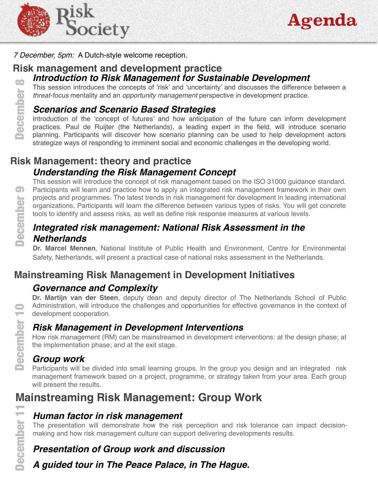



*7 December, 5pm:* A Dutch-style welcome reception.

#### *Introduction to Risk Management for Sustainable Development*  **Risk management and development practice** 88

This session introduces the concepts of 'risk' and 'uncertainty' and discusses the difference between a *threat-focus* mentality and an *opportunity management* perspective in development practice.

#### *Scenarios and Scenario Based Strategies*

Introduction of the 'concept of futures' and how anticipation of the future can inform development practices. Paul de Ruijter (the Netherlands), a leading expert in the field, will introduce scenario planning. Participants will discover how scenario planning can be used to help development actors strategize ways of responding to imminent social and economic challenges in the developing world.

# *Understanding the Risk Management Concept* **Risk Management: theory and practice** g December

This session will introduce the concept of risk management based on the ISO 31000 guidance standard. Participants will learn and practice how to apply an integrated risk management framework in their own projects and programmes. The latest trends in risk management for development in leading international organizations. Participants will learn the difference between various types of risks. You will get concrete tools to identify and assess risks, as well as define risk response measures at various levels. **Mainted The School of the School of the School of the School of the difference between various types of the difference between various types of the difference between various types of <b>Integrated risk management: National** 

#### *Integrated risk management: National Risk Assessment in the Netherlands*

**Dr. Marcel Mennen**, National Institute of Public Health and Environment, Centre for Environmental Safety, Netherlands, will present a practical case of national risks assessment in the Netherlands.

#### **Mainstreaming Risk Management in Development Initiatives**

#### *Governance and Complexity*

**Dr. Martijn van der Steen**, deputy dean and deputy director of The Netherlands School of Public Administration, will introduce the challenges and opportunities for effective governance in the context of development cooperation.

#### *Risk Management in Development Interventions*

How risk management (RM) can be mainstreamed in development interventions: at the design phase; at the implementation phase; and at the exit stage.

#### *Group work*

Participants will be divided into small learning groups. In the group you design and an integrated risk management framework based on a project, programme, or strategy taken from your area. Each group will present the results.

#### *Human factor in risk management*

The presentation will demonstrate how the risk perception and risk tolerance can impact decisionmaking and how risk management culture can support delivering developments results.

#### *Presentation of Group work and discussion*

*A guided tour in The Peace Palace, in The Hague.*

December

December 11

December

÷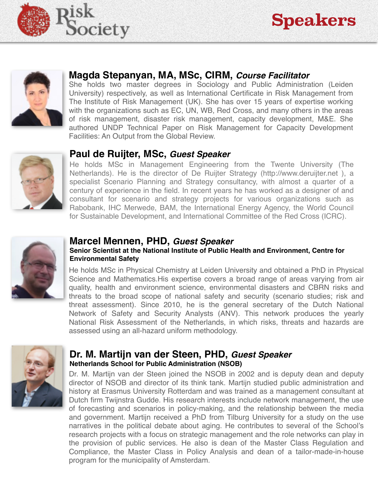



#### **Magda Stepanyan, MA, MSc, CIRM,** *Course Facilitator*

She holds two master degrees in Sociology and Public Administration (Leiden University) respectively, as well as International Certificate in Risk Management from The Institute of Risk Management (UK). She has over 15 years of expertise working with the organizations such as EC, UN, WB, Red Cross, and many others in the areas of risk management, disaster risk management, capacity development, M&E. She authored UNDP Technical Paper on Risk Management for Capacity Development Facilities: An Output from the Global Review.



#### **Paul de Ruijter, MSc,** *Guest Speaker*

He holds MSc in Management Engineering from the Twente University (The Netherlands). He is the director of De Ruijter Strategy (http://www.deruijter.net ), a specialist Scenario Planning and Strategy consultancy, with almost a quarter of a century of experience in the field. In recent years he has worked as a designer of and consultant for scenario and strategy projects for various organizations such as Rabobank, IHC Merwede, BAM, the International Energy Agency, the World Council for Sustainable Development, and International Committee of the Red Cross (ICRC).



#### **Marcel Mennen, PHD,** *Guest Speaker*

#### **Senior Scientist at the National Institute of Public Health and Environment, Centre for Environmental Safety**

He holds MSc in Physical Chemistry at Leiden University and obtained a PhD in Physical Science and Mathematics.His expertise covers a broad range of areas varying from air quality, health and environment science, environmental disasters and CBRN risks and threats to the broad scope of national safety and security (scenario studies; risk and threat assessment). Since 2010, he is the general secretary of the Dutch National Network of Safety and Security Analysts (ANV). This network produces the yearly National Risk Assessment of the Netherlands, in which risks, threats and hazards are assessed using an all-hazard uniform methodology.



#### **Dr. M. Martijn van der Steen, PHD,** *Guest Speaker*  **Netherlands School for Public Administration (NSOB)**

Dr. M. Martijn van der Steen joined the NSOB in 2002 and is deputy dean and deputy director of NSOB and director of its think tank. Martijn studied public administration and history at Erasmus University Rotterdam and was trained as a management consultant at Dutch firm Twijnstra Gudde. His research interests include network management, the use of forecasting and scenarios in policy-making, and the relationship between the media and government. Martijn received a PhD from Tilburg University for a study on the use narratives in the political debate about aging. He contributes to several of the School's research projects with a focus on strategic management and the role networks can play in the provision of public services. He also is dean of the Master Class Regulation and Compliance, the Master Class in Policy Analysis and dean of a tailor-made-in-house program for the municipality of Amsterdam.